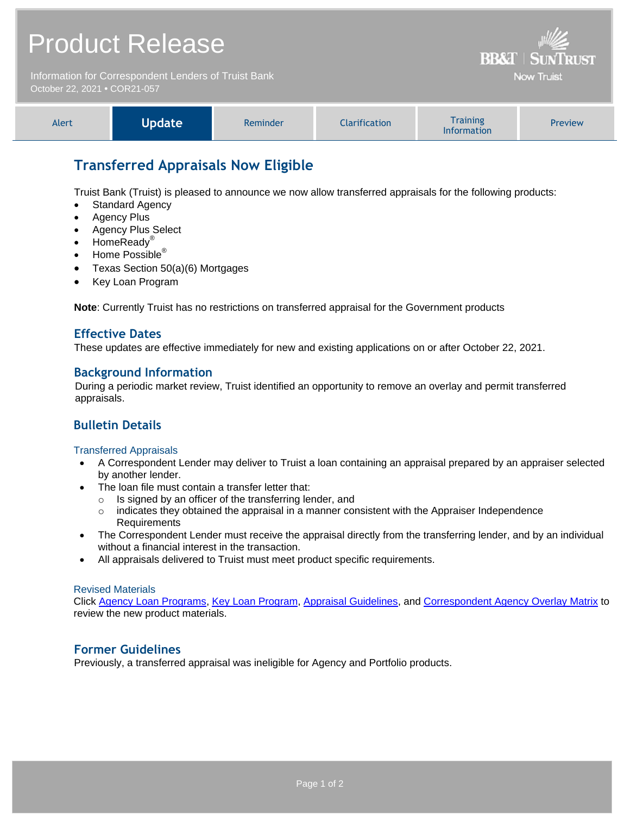# Product Release

Information for Correspondent Lenders of Truist Bank October 22, 2021 **•** COR21-057

| <b>Information</b> | Alert | Update | Reminder | <b>Iarification</b> | <b>Fraining</b> | Preview |
|--------------------|-------|--------|----------|---------------------|-----------------|---------|
|--------------------|-------|--------|----------|---------------------|-----------------|---------|

**BB&T | SUNTRUST Now Truist** 

# **Transferred Appraisals Now Eligible**

Truist Bank (Truist) is pleased to announce we now allow transferred appraisals for the following products:

- Standard Agency
- Agency Plus
- Agency Plus Select
- HomeReady<sup>®</sup>
- Home Possible<sup>®</sup>
- Texas Section 50(a)(6) Mortgages
- Key Loan Program

**Note**: Currently Truist has no restrictions on transferred appraisal for the Government products

#### **Effective Dates**

These updates are effective immediately for new and existing applications on or after October 22, 2021.

#### **Background Information**

During a periodic market review, Truist identified an opportunity to remove an overlay and permit transferred appraisals.

### **Bulletin Details**

#### Transferred Appraisals

- A Correspondent Lender may deliver to Truist a loan containing an appraisal prepared by an appraiser selected by another lender.
- The loan file must contain a transfer letter that:
	- o Is signed by an officer of the transferring lender, and
	- $\circ$  indicates they obtained the appraisal in a manner consistent with the Appraiser Independence Requirements
- The Correspondent Lender must receive the appraisal directly from the transferring lender, and by an individual without a financial interest in the transaction.
- All appraisals delivered to Truist must meet product specific requirements.

#### Revised Materials

Click [Agency Loan Programs,](https://www.truistsellerguide.com/Manual/cor/products/CAgency.pdf) [Key Loan Program,](https://www.truistsellerguide.com/Manual/cor/products/CKey.pdf) [Appraisal Guidelines,](https://www.truistsellerguide.com/Manual/cor/general/1.07Appraisals.pdf) and [Correspondent Agency Overlay Matrix](http://www.truistsellerguide.com/manual/cor/products/CAgencyCreditOverlays.pdf) to review the new product materials.

### **Former Guidelines**

Previously, a transferred appraisal was ineligible for Agency and Portfolio products.